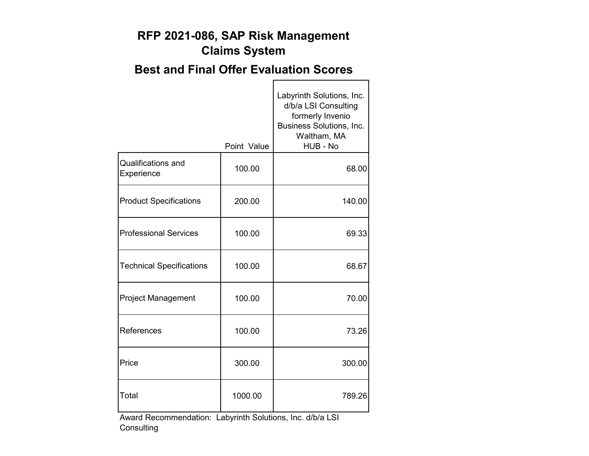#### **RFP 2021-086, SAP Risk Management Claims System**

### **Best and Final Offer Evaluation Scores**

 $\blacksquare$ 

|                                         | Point Value | Labyrinth Solutions, Inc.<br>d/b/a LSI Consulting<br>formerly Invenio<br>Business Solutions, Inc.<br>Waltham, MA<br>HUB - No |
|-----------------------------------------|-------------|------------------------------------------------------------------------------------------------------------------------------|
| <b>Qualifications and</b><br>Experience | 100.00      | 68.00                                                                                                                        |
| <b>Product Specifications</b>           | 200.00      | 140.00                                                                                                                       |
| <b>Professional Services</b>            | 100.00      | 69.33                                                                                                                        |
| <b>Technical Specifications</b>         | 100.00      | 68.67                                                                                                                        |
| <b>Project Management</b>               | 100.00      | 70.00                                                                                                                        |
| References                              | 100.00      | 73.26                                                                                                                        |
| Price                                   | 300.00      | 300.00                                                                                                                       |
| Total                                   | 1000.00     | 789.26                                                                                                                       |

Award Recommendation: Labyrinth Solutions, Inc. d/b/a LSI **Consulting**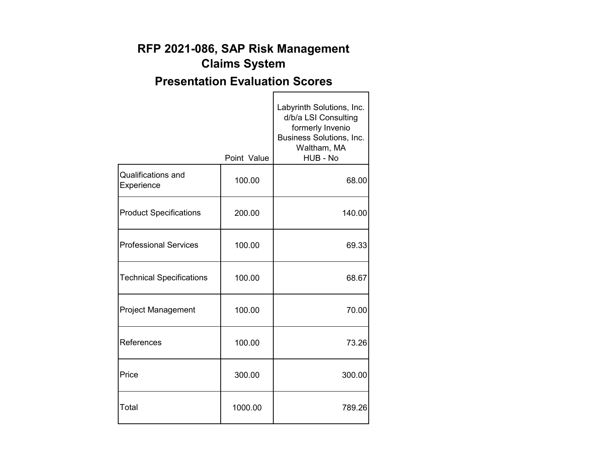## **RFP 2021-086, SAP Risk Management Claims System**

# **Presentation Evaluation Scores**

 $\blacksquare$ 

٦

|                                         | Point Value | Labyrinth Solutions, Inc.<br>d/b/a LSI Consulting<br>formerly Invenio<br>Business Solutions, Inc.<br>Waltham, MA<br>HUB - No |
|-----------------------------------------|-------------|------------------------------------------------------------------------------------------------------------------------------|
| <b>Qualifications and</b><br>Experience | 100.00      | 68.00                                                                                                                        |
| <b>Product Specifications</b>           | 200.00      | 140.00                                                                                                                       |
| <b>Professional Services</b>            | 100.00      | 69.33                                                                                                                        |
| <b>Technical Specifications</b>         | 100.00      | 68.67                                                                                                                        |
| <b>Project Management</b>               | 100.00      | 70.00                                                                                                                        |
| References                              | 100.00      | 73.26                                                                                                                        |
| Price                                   | 300.00      | 300.00                                                                                                                       |
| Total                                   | 1000.00     | 789.26                                                                                                                       |